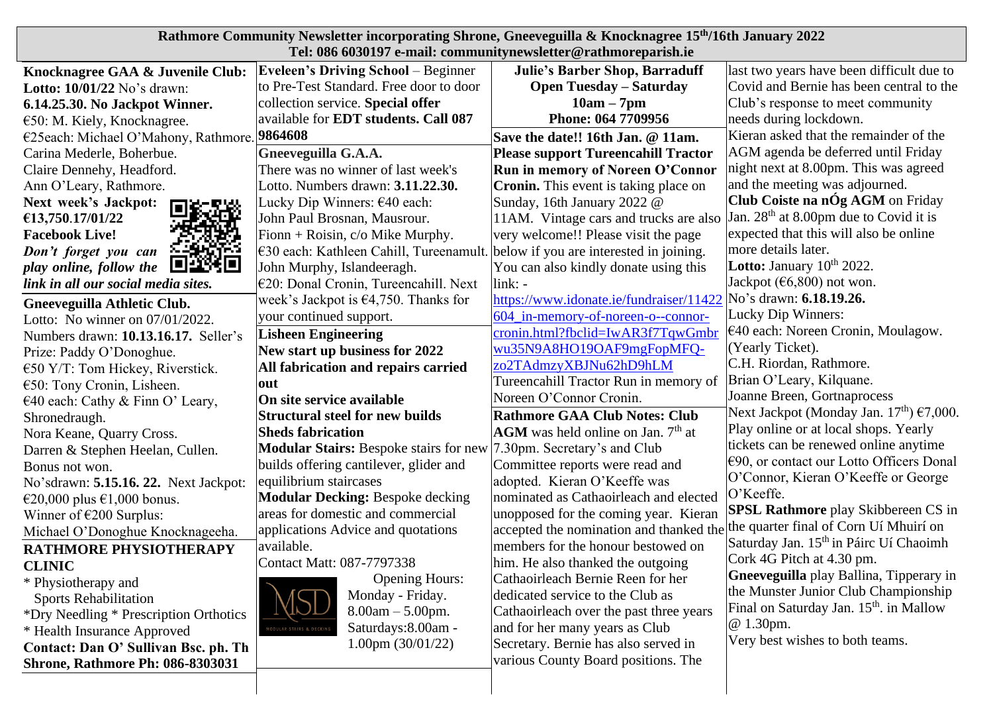| Rathmore Community Newsletter incorporating Shrone, Gneeveguilla & Knocknagree 15th/16th January 2022 |                                                |                                                                                |                                                     |
|-------------------------------------------------------------------------------------------------------|------------------------------------------------|--------------------------------------------------------------------------------|-----------------------------------------------------|
| Tel: 086 6030197 e-mail: communitynewsletter@rathmoreparish.ie                                        |                                                |                                                                                |                                                     |
| Knocknagree GAA & Juvenile Club:                                                                      | <b>Eveleen's Driving School</b> – Beginner     | <b>Julie's Barber Shop, Barraduff</b>                                          | last two years have been difficult due to           |
| Lotto: 10/01/22 No's drawn:                                                                           | to Pre-Test Standard. Free door to door        | <b>Open Tuesday - Saturday</b>                                                 | Covid and Bernie has been central to the            |
| 6.14.25.30. No Jackpot Winner.                                                                        | collection service. Special offer              | $10am - 7pm$                                                                   | Club's response to meet community                   |
| $\epsilon$ 50: M. Kiely, Knocknagree.                                                                 | available for <b>EDT</b> students. Call 087    | Phone: 064 7709956                                                             | needs during lockdown.                              |
| €25each: Michael O'Mahony, Rathmore. 9864608                                                          |                                                | Save the date!! 16th Jan. @ 11am.                                              | Kieran asked that the remainder of the              |
| Carina Mederle, Boherbue.                                                                             | Gneeveguilla G.A.A.                            | <b>Please support Tureencahill Tractor</b>                                     | AGM agenda be deferred until Friday                 |
| Claire Dennehy, Headford.                                                                             | There was no winner of last week's             | <b>Run in memory of Noreen O'Connor</b>                                        | night next at 8.00pm. This was agreed               |
| Ann O'Leary, Rathmore.                                                                                | Lotto. Numbers drawn: 3.11.22.30.              | <b>Cronin.</b> This event is taking place on                                   | and the meeting was adjourned.                      |
| Next week's Jackpot:                                                                                  | Lucky Dip Winners: $640$ each:                 | Sunday, 16th January 2022 @                                                    | Club Coiste na nÓg AGM on Friday                    |
| €13,750.17/01/22                                                                                      | John Paul Brosnan, Mausrour.                   | 11AM. Vintage cars and trucks are also                                         | Jan. $28th$ at 8.00pm due to Covid it is            |
| <b>Facebook Live!</b>                                                                                 | Fionn + Roisin, $c/o$ Mike Murphy.             | very welcome!! Please visit the page                                           | expected that this will also be online              |
| <u> 8-8600-</u><br>Don't forget you can                                                               | €30 each: Kathleen Cahill, Tureenamult.        | below if you are interested in joining.                                        | more details later.                                 |
| 国語线回<br>play online, follow the                                                                       | John Murphy, Islandeeragh.                     | You can also kindly donate using this                                          | <b>Lotto:</b> January $10^{th}$ 2022.               |
| link in all our social media sites.                                                                   | €20: Donal Cronin, Tureencahill. Next          | $link: -$                                                                      | Jackpot ( $66,800$ ) not won.                       |
| Gneeveguilla Athletic Club.                                                                           | week's Jackpot is $\epsilon$ 4,750. Thanks for | https://www.idonate.ie/fundraiser/11422                                        | No's drawn: 6.18.19.26.                             |
| Lotto: No winner on 07/01/2022.                                                                       | your continued support.                        | 604 in-memory-of-noreen-o--connor-                                             | Lucky Dip Winners:                                  |
| Numbers drawn: 10.13.16.17. Seller's                                                                  | <b>Lisheen Engineering</b>                     | cronin.html?fbclid=IwAR3f7TqwGmbr                                              | $€40$ each: Noreen Cronin, Moulagow.                |
| Prize: Paddy O'Donoghue.                                                                              | New start up business for 2022                 | wu35N9A8HO19OAF9mgFopMFQ-                                                      | (Yearly Ticket).                                    |
| $\epsilon$ 50 Y/T: Tom Hickey, Riverstick.                                                            | All fabrication and repairs carried            | zo2TAdmzyXBJNu62hD9hLM                                                         | C.H. Riordan, Rathmore.                             |
| $\epsilon$ 50: Tony Cronin, Lisheen.                                                                  | out                                            | Tureencahill Tractor Run in memory of                                          | Brian O'Leary, Kilquane.                            |
| €40 each: Cathy & Finn O' Leary,                                                                      | On site service available                      | Noreen O'Connor Cronin.                                                        | Joanne Breen, Gortnaprocess                         |
| Shronedraugh.                                                                                         | <b>Structural steel for new builds</b>         | <b>Rathmore GAA Club Notes: Club</b>                                           | Next Jackpot (Monday Jan. $17th$ ) €7,000.          |
| Nora Keane, Quarry Cross.                                                                             | <b>Sheds fabrication</b>                       | $AGM$ was held online on Jan. $7th$ at                                         | Play online or at local shops. Yearly               |
| Darren & Stephen Heelan, Cullen.                                                                      | <b>Modular Stairs: Bespoke stairs for new</b>  | 7.30pm. Secretary's and Club                                                   | tickets can be renewed online anytime               |
| Bonus not won.                                                                                        | builds offering cantilever, glider and         | Committee reports were read and                                                | $\epsilon$ 90, or contact our Lotto Officers Donal  |
| No'sdrawn: 5.15.16. 22. Next Jackpot:                                                                 | equilibrium staircases                         | adopted. Kieran O'Keeffe was                                                   | O'Connor, Kieran O'Keeffe or George                 |
| €20,000 plus €1,000 bonus.                                                                            | <b>Modular Decking:</b> Bespoke decking        | nominated as Cathaoirleach and elected                                         | O'Keeffe.                                           |
| Winner of $\epsilon$ 200 Surplus:                                                                     | areas for domestic and commercial              | unopposed for the coming year. Kieran                                          | <b>SPSL Rathmore</b> play Skibbereen CS in          |
| Michael O'Donoghue Knocknageeha.                                                                      | applications Advice and quotations             | accepted the nomination and thanked the the quarter final of Corn Uí Mhuirí on |                                                     |
| RATHMORE PHYSIOTHERAPY                                                                                | available.                                     | members for the honour bestowed on                                             | Saturday Jan. 15 <sup>th</sup> in Páirc Uí Chaoimh  |
| <b>CLINIC</b>                                                                                         | Contact Matt: 087-7797338                      | him. He also thanked the outgoing                                              | Cork 4G Pitch at 4.30 pm.                           |
| * Physiotherapy and                                                                                   | <b>Opening Hours:</b>                          | Cathaoirleach Bernie Reen for her                                              | <b>Gneeveguilla</b> play Ballina, Tipperary in      |
| <b>Sports Rehabilitation</b>                                                                          | Monday - Friday.                               | dedicated service to the Club as                                               | the Munster Junior Club Championship                |
| *Dry Needling * Prescription Orthotics                                                                | $8.00am - 5.00pm.$                             | Cathaoirleach over the past three years                                        | Final on Saturday Jan. 15 <sup>th</sup> . in Mallow |
| * Health Insurance Approved                                                                           | Saturdays: 8.00am -<br>JLAR STAIRS & DECKIN    | and for her many years as Club                                                 | @ 1.30pm.                                           |
| Contact: Dan O' Sullivan Bsc. ph. Th                                                                  | $1.00 \text{pm} (30/01/22)$                    | Secretary. Bernie has also served in                                           | Very best wishes to both teams.                     |
| <b>Shrone, Rathmore Ph: 086-8303031</b>                                                               |                                                | various County Board positions. The                                            |                                                     |
|                                                                                                       |                                                |                                                                                |                                                     |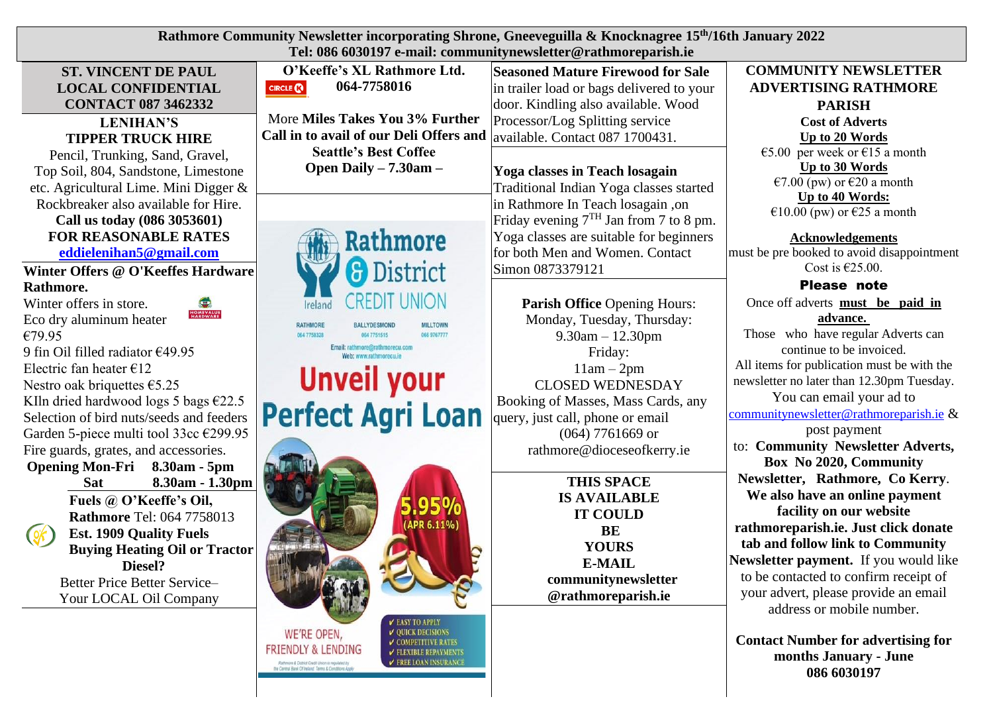